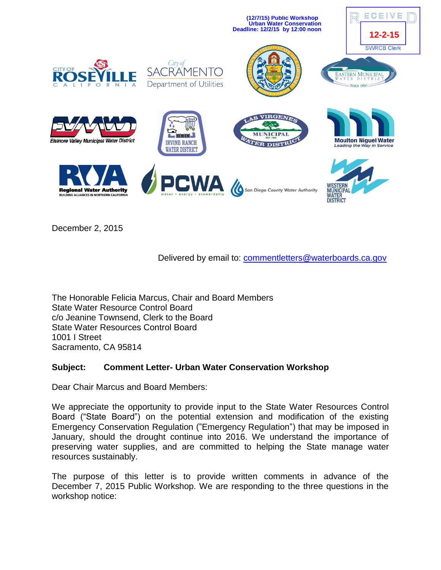

December 2, 2015

# Delivered by email to: [commentletters@waterboards.ca.gov](mailto:commentletters@waterboards.ca.gov)

The Honorable Felicia Marcus, Chair and Board Members State Water Resource Control Board c/o Jeanine Townsend, Clerk to the Board State Water Resources Control Board 1001 I Street Sacramento, CA 95814

# **Subject: Comment Letter- Urban Water Conservation Workshop**

Dear Chair Marcus and Board Members:

We appreciate the opportunity to provide input to the State Water Resources Control Board ("State Board") on the potential extension and modification of the existing Emergency Conservation Regulation ("Emergency Regulation") that may be imposed in January, should the drought continue into 2016. We understand the importance of preserving water supplies, and are committed to helping the State manage water resources sustainably.

The purpose of this letter is to provide written comments in advance of the December 7, 2015 Public Workshop. We are responding to the three questions in the workshop notice: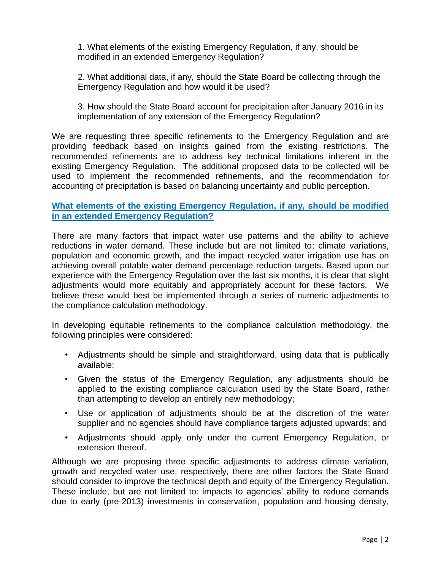1. What elements of the existing Emergency Regulation, if any, should be modified in an extended Emergency Regulation?

2. What additional data, if any, should the State Board be collecting through the Emergency Regulation and how would it be used?

3. How should the State Board account for precipitation after January 2016 in its implementation of any extension of the Emergency Regulation?

We are requesting three specific refinements to the Emergency Regulation and are providing feedback based on insights gained from the existing restrictions. The recommended refinements are to address key technical limitations inherent in the existing Emergency Regulation. The additional proposed data to be collected will be used to implement the recommended refinements, and the recommendation for accounting of precipitation is based on balancing uncertainty and public perception.

## **What elements of the existing Emergency Regulation, if any, should be modified in an extended Emergency Regulation?**

There are many factors that impact water use patterns and the ability to achieve reductions in water demand. These include but are not limited to: climate variations, population and economic growth, and the impact recycled water irrigation use has on achieving overall potable water demand percentage reduction targets. Based upon our experience with the Emergency Regulation over the last six months, it is clear that slight adjustments would more equitably and appropriately account for these factors. We believe these would best be implemented through a series of numeric adjustments to the compliance calculation methodology.

In developing equitable refinements to the compliance calculation methodology, the following principles were considered:

- Adjustments should be simple and straightforward, using data that is publically available;
- Given the status of the Emergency Regulation, any adjustments should be applied to the existing compliance calculation used by the State Board, rather than attempting to develop an entirely new methodology;
- Use or application of adjustments should be at the discretion of the water supplier and no agencies should have compliance targets adjusted upwards; and
- Adjustments should apply only under the current Emergency Regulation, or extension thereof.

Although we are proposing three specific adjustments to address climate variation, growth and recycled water use, respectively, there are other factors the State Board should consider to improve the technical depth and equity of the Emergency Regulation. These include, but are not limited to: impacts to agencies' ability to reduce demands due to early (pre-2013) investments in conservation, population and housing density,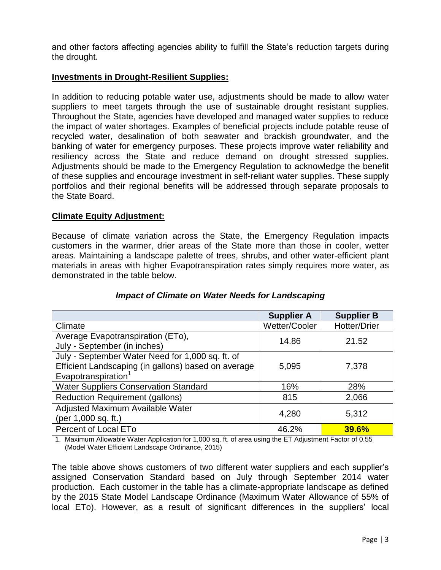and other factors affecting agencies ability to fulfill the State's reduction targets during the drought.

## **Investments in Drought-Resilient Supplies:**

In addition to reducing potable water use, adjustments should be made to allow water suppliers to meet targets through the use of sustainable drought resistant supplies. Throughout the State, agencies have developed and managed water supplies to reduce the impact of water shortages. Examples of beneficial projects include potable reuse of recycled water, desalination of both seawater and brackish groundwater, and the banking of water for emergency purposes. These projects improve water reliability and resiliency across the State and reduce demand on drought stressed supplies. Adjustments should be made to the Emergency Regulation to acknowledge the benefit of these supplies and encourage investment in self-reliant water supplies. These supply portfolios and their regional benefits will be addressed through separate proposals to the State Board.

#### **Climate Equity Adjustment:**

Because of climate variation across the State, the Emergency Regulation impacts customers in the warmer, drier areas of the State more than those in cooler, wetter areas. Maintaining a landscape palette of trees, shrubs, and other water-efficient plant materials in areas with higher Evapotranspiration rates simply requires more water, as demonstrated in the table below.

|                                                     | <b>Supplier A</b> | <b>Supplier B</b> |  |
|-----------------------------------------------------|-------------------|-------------------|--|
| Climate                                             | Wetter/Cooler     | Hotter/Drier      |  |
| Average Evapotranspiration (ETo),                   | 14.86             | 21.52             |  |
| July - September (in inches)                        |                   |                   |  |
| July - September Water Need for 1,000 sq. ft. of    |                   |                   |  |
| Efficient Landscaping (in gallons) based on average | 5,095             | 7,378             |  |
| Evapotranspiration <sup>1</sup>                     |                   |                   |  |
| <b>Water Suppliers Conservation Standard</b>        | 16%               | 28%               |  |
| <b>Reduction Requirement (gallons)</b>              | 815               | 2,066             |  |
| Adjusted Maximum Available Water                    | 4,280             | 5,312             |  |
| (per 1,000 sq. ft.)                                 |                   |                   |  |
| Percent of Local ETo                                | 46.2%             | 39.6%             |  |

#### *Impact of Climate on Water Needs for Landscaping*

1. Maximum Allowable Water Application for 1,000 sq. ft. of area using the ET Adjustment Factor of 0.55 (Model Water Efficient Landscape Ordinance, 2015)

The table above shows customers of two different water suppliers and each supplier's assigned Conservation Standard based on July through September 2014 water production. Each customer in the table has a climate-appropriate landscape as defined by the 2015 State Model Landscape Ordinance (Maximum Water Allowance of 55% of local ETo). However, as a result of significant differences in the suppliers' local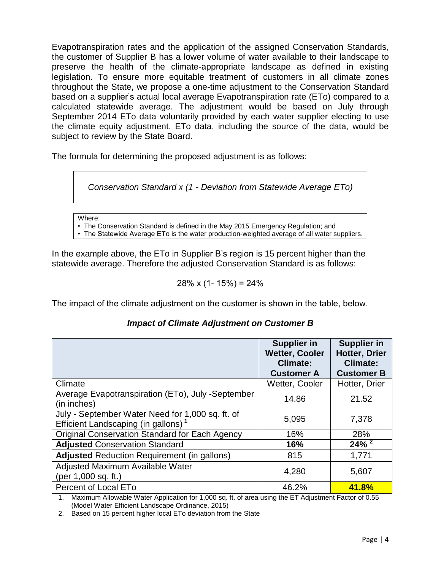Evapotranspiration rates and the application of the assigned Conservation Standards, the customer of Supplier B has a lower volume of water available to their landscape to preserve the health of the climate-appropriate landscape as defined in existing legislation. To ensure more equitable treatment of customers in all climate zones throughout the State, we propose a one-time adjustment to the Conservation Standard based on a supplier's actual local average Evapotranspiration rate (ETo) compared to a calculated statewide average. The adjustment would be based on July through September 2014 ETo data voluntarily provided by each water supplier electing to use the climate equity adjustment. ETo data, including the source of the data, would be subject to review by the State Board.

The formula for determining the proposed adjustment is as follows:



Where:

• The Conservation Standard is defined in the May 2015 Emergency Regulation; and

• The Statewide Average ETo is the water production-weighted average of all water suppliers.

In the example above, the ETo in Supplier B's region is 15 percent higher than the statewide average. Therefore the adjusted Conservation Standard is as follows:

$$
28\% \times (1 - 15\%) = 24\%
$$

The impact of the climate adjustment on the customer is shown in the table, below.

|                                                                                                     | <b>Supplier in</b><br><b>Wetter, Cooler</b><br><b>Climate:</b> | <b>Supplier in</b><br><b>Hotter, Drier</b><br><b>Climate:</b> |
|-----------------------------------------------------------------------------------------------------|----------------------------------------------------------------|---------------------------------------------------------------|
| Climate                                                                                             | <b>Customer A</b><br>Wetter, Cooler                            | <b>Customer B</b><br>Hotter, Drier                            |
| Average Evapotranspiration (ETo), July -September<br>(in inches)                                    | 14.86                                                          | 21.52                                                         |
| July - September Water Need for 1,000 sq. ft. of<br>Efficient Landscaping (in gallons) <sup>1</sup> | 5,095                                                          | 7,378                                                         |
| <b>Original Conservation Standard for Each Agency</b>                                               | 16%                                                            | 28%                                                           |
| <b>Adjusted Conservation Standard</b>                                                               | 16%                                                            | $24\%$ <sup>2</sup>                                           |
| <b>Adjusted Reduction Requirement (in gallons)</b>                                                  | 815                                                            | 1,771                                                         |
| Adjusted Maximum Available Water<br>(per 1,000 sq. ft.)                                             | 4,280                                                          | 5,607                                                         |
| <b>Percent of Local ETo</b>                                                                         | 46.2%                                                          | 41.8%                                                         |

## *Impact of Climate Adjustment on Customer B*

1. Maximum Allowable Water Application for 1,000 sq. ft. of area using the ET Adjustment Factor of 0.55 (Model Water Efficient Landscape Ordinance, 2015)

2. Based on 15 percent higher local ETo deviation from the State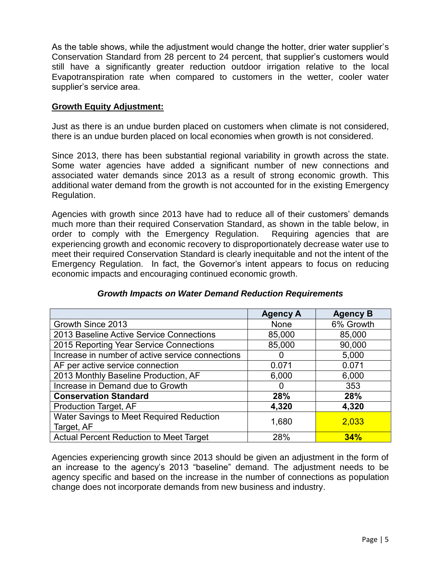As the table shows, while the adjustment would change the hotter, drier water supplier's Conservation Standard from 28 percent to 24 percent, that supplier's customers would still have a significantly greater reduction outdoor irrigation relative to the local Evapotranspiration rate when compared to customers in the wetter, cooler water supplier's service area.

## **Growth Equity Adjustment:**

Just as there is an undue burden placed on customers when climate is not considered, there is an undue burden placed on local economies when growth is not considered.

Since 2013, there has been substantial regional variability in growth across the state. Some water agencies have added a significant number of new connections and associated water demands since 2013 as a result of strong economic growth. This additional water demand from the growth is not accounted for in the existing Emergency Regulation.

Agencies with growth since 2013 have had to reduce all of their customers' demands much more than their required Conservation Standard, as shown in the table below, in order to comply with the Emergency Regulation. Requiring agencies that are experiencing growth and economic recovery to disproportionately decrease water use to meet their required Conservation Standard is clearly inequitable and not the intent of the Emergency Regulation. In fact, the Governor's intent appears to focus on reducing economic impacts and encouraging continued economic growth.

|                                                  | <b>Agency A</b> | <b>Agency B</b> |
|--------------------------------------------------|-----------------|-----------------|
| Growth Since 2013                                | <b>None</b>     | 6% Growth       |
| 2013 Baseline Active Service Connections         | 85,000          | 85,000          |
| 2015 Reporting Year Service Connections          | 85,000          | 90,000          |
| Increase in number of active service connections | O               | 5,000           |
| AF per active service connection                 | 0.071           | 0.071           |
| 2013 Monthly Baseline Production, AF             | 6,000           | 6,000           |
| Increase in Demand due to Growth                 | O               | 353             |
| <b>Conservation Standard</b>                     | 28%             | 28%             |
| Production Target, AF                            | 4,320           | 4,320           |
| Water Savings to Meet Required Reduction         | 1,680           | 2,033           |
| Target, AF                                       |                 |                 |
| <b>Actual Percent Reduction to Meet Target</b>   | 28%             | 34%             |

## *Growth Impacts on Water Demand Reduction Requirements*

Agencies experiencing growth since 2013 should be given an adjustment in the form of an increase to the agency's 2013 "baseline" demand. The adjustment needs to be agency specific and based on the increase in the number of connections as population change does not incorporate demands from new business and industry.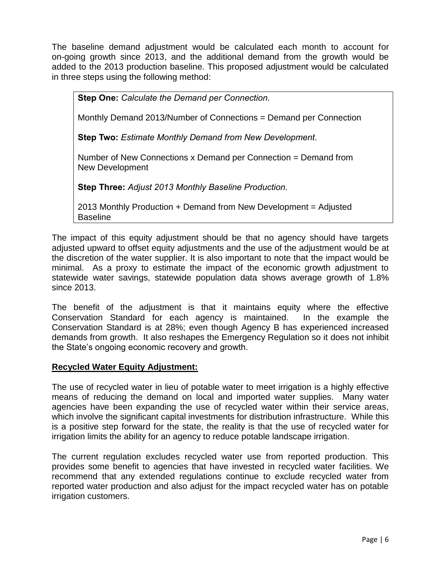The baseline demand adjustment would be calculated each month to account for on-going growth since 2013, and the additional demand from the growth would be added to the 2013 production baseline. This proposed adjustment would be calculated in three steps using the following method:

**Step One:** *Calculate the Demand per Connection.*

Monthly Demand 2013/Number of Connections = Demand per Connection

**Step Two:** *Estimate Monthly Demand from New Development.*

Number of New Connections x Demand per Connection = Demand from New Development

**Step Three:** *Adjust 2013 Monthly Baseline Production.*

2013 Monthly Production + Demand from New Development = Adjusted Baseline

The impact of this equity adjustment should be that no agency should have targets adjusted upward to offset equity adjustments and the use of the adjustment would be at the discretion of the water supplier. It is also important to note that the impact would be minimal. As a proxy to estimate the impact of the economic growth adjustment to statewide water savings, statewide population data shows average growth of 1.8% since 2013.

The benefit of the adjustment is that it maintains equity where the effective Conservation Standard for each agency is maintained. In the example the Conservation Standard is at 28%; even though Agency B has experienced increased demands from growth. It also reshapes the Emergency Regulation so it does not inhibit the State's ongoing economic recovery and growth.

## **Recycled Water Equity Adjustment:**

The use of recycled water in lieu of potable water to meet irrigation is a highly effective means of reducing the demand on local and imported water supplies. Many water agencies have been expanding the use of recycled water within their service areas, which involve the significant capital investments for distribution infrastructure. While this is a positive step forward for the state, the reality is that the use of recycled water for irrigation limits the ability for an agency to reduce potable landscape irrigation.

The current regulation excludes recycled water use from reported production. This provides some benefit to agencies that have invested in recycled water facilities. We recommend that any extended regulations continue to exclude recycled water from reported water production and also adjust for the impact recycled water has on potable irrigation customers.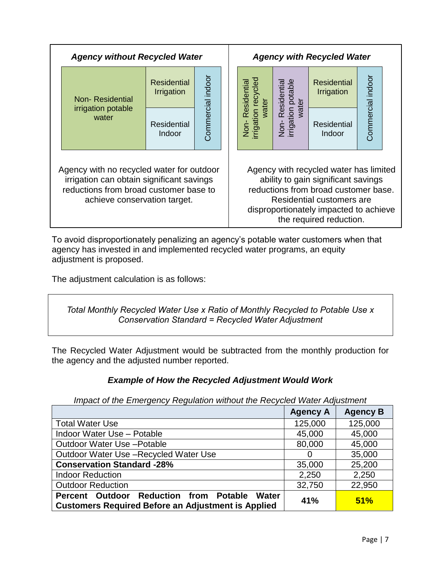| <b>Agency without Recycled Water</b>                                                                                                                                                                                                                                                                                                                                                        |                                  | <b>Agency with Recycled Water</b> |  |                                      |  |                                  |                   |  |  |  |  |  |  |  |  |  |  |  |                                               |                              |  |  |
|---------------------------------------------------------------------------------------------------------------------------------------------------------------------------------------------------------------------------------------------------------------------------------------------------------------------------------------------------------------------------------------------|----------------------------------|-----------------------------------|--|--------------------------------------|--|----------------------------------|-------------------|--|--|--|--|--|--|--|--|--|--|--|-----------------------------------------------|------------------------------|--|--|
| Non-Residential                                                                                                                                                                                                                                                                                                                                                                             | <b>Residential</b><br>Irrigation |                                   |  | ion recycled<br>water<br>Residential |  | <b>Residential</b><br>Irrigation | Commercial indoor |  |  |  |  |  |  |  |  |  |  |  |                                               |                              |  |  |
| irrigation potable<br>water                                                                                                                                                                                                                                                                                                                                                                 | Residential<br>Indoor            | Commercial indoor                 |  | Non- Res<br>irrigation               |  |                                  |                   |  |  |  |  |  |  |  |  |  |  |  | Non- Resuccion<br>irrigation potable<br>water | <b>Residential</b><br>Indoor |  |  |
| Agency with no recycled water for outdoor<br>Agency with recycled water has limited<br>irrigation can obtain significant savings<br>ability to gain significant savings<br>reductions from broad customer base.<br>reductions from broad customer base to<br>Residential customers are<br>achieve conservation target.<br>disproportionately impacted to achieve<br>the required reduction. |                                  |                                   |  |                                      |  |                                  |                   |  |  |  |  |  |  |  |  |  |  |  |                                               |                              |  |  |

To avoid disproportionately penalizing an agency's potable water customers when that agency has invested in and implemented recycled water programs, an equity adjustment is proposed.

The adjustment calculation is as follows:

*Total Monthly Recycled Water Use x Ratio of Monthly Recycled to Potable Use x Conservation Standard = Recycled Water Adjustment*

The Recycled Water Adjustment would be subtracted from the monthly production for the agency and the adjusted number reported.

# *Example of How the Recycled Adjustment Would Work*

*Impact of the Emergency Regulation without the Recycled Water Adjustment*

|                                                                                                                     | <b>Agency A</b> | <b>Agency B</b> |
|---------------------------------------------------------------------------------------------------------------------|-----------------|-----------------|
| <b>Total Water Use</b>                                                                                              | 125,000         | 125,000         |
| Indoor Water Use - Potable                                                                                          | 45,000          | 45,000          |
| <b>Outdoor Water Use - Potable</b>                                                                                  | 80,000          | 45,000          |
| Outdoor Water Use -Recycled Water Use                                                                               | 0               | 35,000          |
| <b>Conservation Standard -28%</b>                                                                                   | 35,000          | 25,200          |
| <b>Indoor Reduction</b>                                                                                             | 2,250           | 2,250           |
| <b>Outdoor Reduction</b>                                                                                            | 32,750          | 22,950          |
| Percent Outdoor Reduction from Potable<br><b>Water</b><br><b>Customers Required Before an Adjustment is Applied</b> | 41%             | 51%             |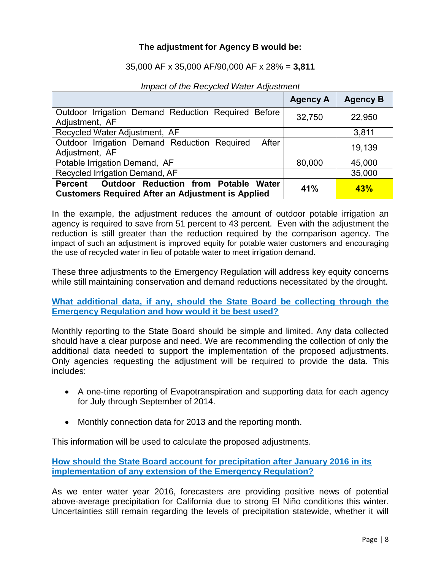## **The adjustment for Agency B would be:**

#### 35,000 AF x 35,000 AF/90,000 AF x 28% = **3,811**

|                                                                                                                    | <b>Agency A</b> | <b>Agency B</b> |
|--------------------------------------------------------------------------------------------------------------------|-----------------|-----------------|
| Outdoor Irrigation Demand Reduction Required Before<br>Adjustment, AF                                              | 32,750          | 22,950          |
| Recycled Water Adjustment, AF                                                                                      |                 | 3,811           |
| Outdoor Irrigation Demand Reduction Required<br>After<br>Adjustment, AF                                            |                 | 19,139          |
| Potable Irrigation Demand, AF                                                                                      | 80,000          | 45,000          |
| Recycled Irrigation Demand, AF                                                                                     |                 | 35,000          |
| Outdoor Reduction from Potable Water<br><b>Percent</b><br><b>Customers Required After an Adjustment is Applied</b> | 41%             | 43%             |

*Impact of the Recycled Water Adjustment*

In the example, the adjustment reduces the amount of outdoor potable irrigation an agency is required to save from 51 percent to 43 percent. Even with the adjustment the reduction is still greater than the reduction required by the comparison agency. The impact of such an adjustment is improved equity for potable water customers and encouraging the use of recycled water in lieu of potable water to meet irrigation demand.

These three adjustments to the Emergency Regulation will address key equity concerns while still maintaining conservation and demand reductions necessitated by the drought.

**What additional data, if any, should the State Board be collecting through the Emergency Regulation and how would it be best used?**

Monthly reporting to the State Board should be simple and limited. Any data collected should have a clear purpose and need. We are recommending the collection of only the additional data needed to support the implementation of the proposed adjustments. Only agencies requesting the adjustment will be required to provide the data. This includes:

- A one-time reporting of Evapotranspiration and supporting data for each agency for July through September of 2014.
- Monthly connection data for 2013 and the reporting month.

This information will be used to calculate the proposed adjustments.

**How should the State Board account for precipitation after January 2016 in its implementation of any extension of the Emergency Regulation?** 

As we enter water year 2016, forecasters are providing positive news of potential above-average precipitation for California due to strong El Niño conditions this winter. Uncertainties still remain regarding the levels of precipitation statewide, whether it will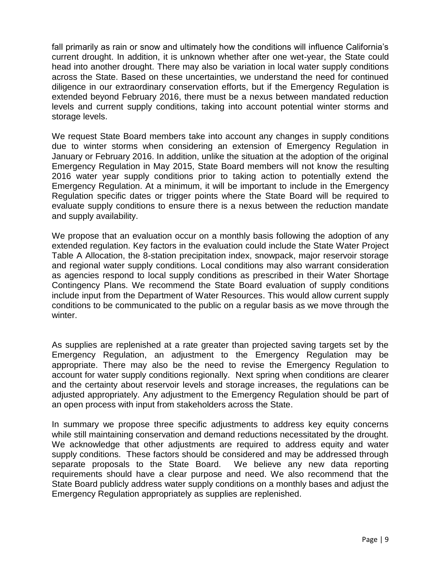fall primarily as rain or snow and ultimately how the conditions will influence California's current drought. In addition, it is unknown whether after one wet-year, the State could head into another drought. There may also be variation in local water supply conditions across the State. Based on these uncertainties, we understand the need for continued diligence in our extraordinary conservation efforts, but if the Emergency Regulation is extended beyond February 2016, there must be a nexus between mandated reduction levels and current supply conditions, taking into account potential winter storms and storage levels.

We request State Board members take into account any changes in supply conditions due to winter storms when considering an extension of Emergency Regulation in January or February 2016. In addition, unlike the situation at the adoption of the original Emergency Regulation in May 2015, State Board members will not know the resulting 2016 water year supply conditions prior to taking action to potentially extend the Emergency Regulation. At a minimum, it will be important to include in the Emergency Regulation specific dates or trigger points where the State Board will be required to evaluate supply conditions to ensure there is a nexus between the reduction mandate and supply availability.

We propose that an evaluation occur on a monthly basis following the adoption of any extended regulation. Key factors in the evaluation could include the State Water Project Table A Allocation, the 8-station precipitation index, snowpack, major reservoir storage and regional water supply conditions. Local conditions may also warrant consideration as agencies respond to local supply conditions as prescribed in their Water Shortage Contingency Plans. We recommend the State Board evaluation of supply conditions include input from the Department of Water Resources. This would allow current supply conditions to be communicated to the public on a regular basis as we move through the winter.

As supplies are replenished at a rate greater than projected saving targets set by the Emergency Regulation, an adjustment to the Emergency Regulation may be appropriate. There may also be the need to revise the Emergency Regulation to account for water supply conditions regionally. Next spring when conditions are clearer and the certainty about reservoir levels and storage increases, the regulations can be adjusted appropriately. Any adjustment to the Emergency Regulation should be part of an open process with input from stakeholders across the State.

In summary we propose three specific adjustments to address key equity concerns while still maintaining conservation and demand reductions necessitated by the drought. We acknowledge that other adjustments are required to address equity and water supply conditions. These factors should be considered and may be addressed through separate proposals to the State Board. We believe any new data reporting requirements should have a clear purpose and need. We also recommend that the State Board publicly address water supply conditions on a monthly bases and adjust the Emergency Regulation appropriately as supplies are replenished.